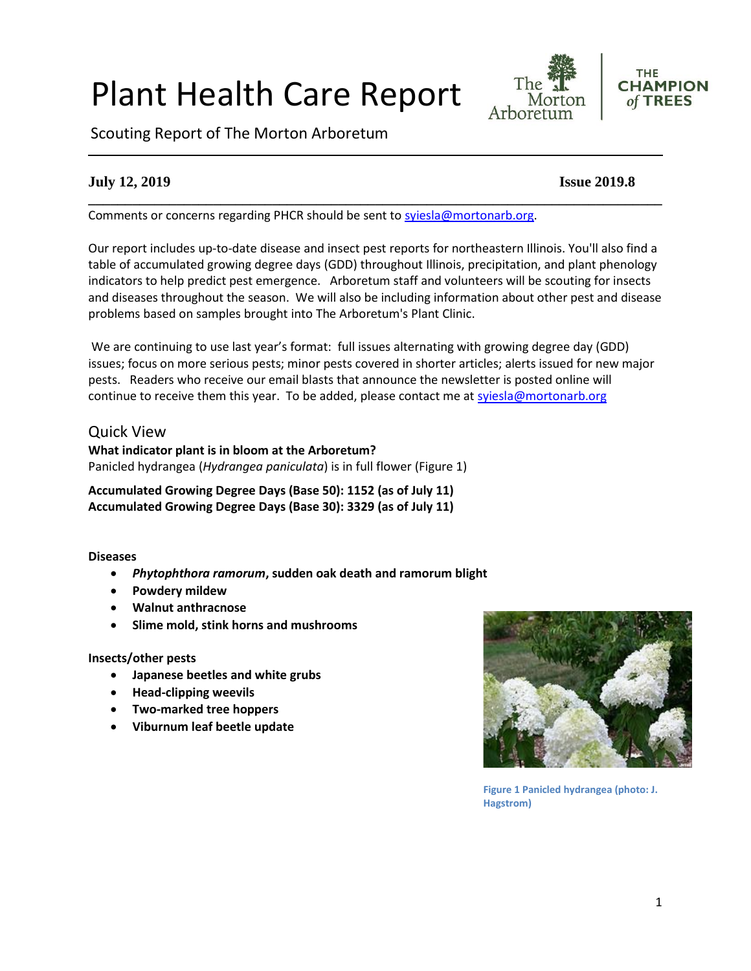#### 1

# Plant Health Care Report

Scouting Report of The Morton Arboretum

# **July 12, 2019 Issue 2019.8**

Comments or concerns regarding PHCR should be sent to [syiesla@mortonarb.org.](mailto:syiesla@mortonarb.org)

Our report includes up-to-date disease and insect pest reports for northeastern Illinois. You'll also find a table of accumulated growing degree days (GDD) throughout Illinois, precipitation, and plant phenology indicators to help predict pest emergence. Arboretum staff and volunteers will be scouting for insects and diseases throughout the season. We will also be including information about other pest and disease problems based on samples brought into The Arboretum's Plant Clinic.

**\_\_\_\_\_\_\_\_\_\_\_\_\_\_\_\_\_\_\_\_\_\_\_\_\_\_\_\_\_\_\_\_\_\_\_\_\_\_\_\_\_\_\_\_\_\_\_\_\_\_\_\_\_\_\_\_\_\_\_\_\_\_\_\_\_\_\_\_\_\_\_\_\_\_\_\_\_\_**

We are continuing to use last year's format: full issues alternating with growing degree day (GDD) issues; focus on more serious pests; minor pests covered in shorter articles; alerts issued for new major pests. Readers who receive our email blasts that announce the newsletter is posted online will continue to receive them this year. To be added, please contact me at [syiesla@mortonarb.org](mailto:syiesla@mortonarb.org)

# Quick View

**What indicator plant is in bloom at the Arboretum?** Panicled hydrangea (*Hydrangea paniculata*) is in full flower (Figure 1)

**Accumulated Growing Degree Days (Base 50): 1152 (as of July 11) Accumulated Growing Degree Days (Base 30): 3329 (as of July 11)**

#### **Diseases**

- *Phytophthora ramorum***, sudden oak death and ramorum blight**
- **Powdery mildew**
- **Walnut anthracnose**
- **Slime mold, stink horns and mushrooms**

#### **Insects/other pests**

- **Japanese beetles and white grubs**
- **Head-clipping weevils**
- **Two-marked tree hoppers**
- **Viburnum leaf beetle update**



**Figure 1 Panicled hydrangea (photo: J. Hagstrom)**

The

Morton

**THE** 

**CHAMPION** 

of TREES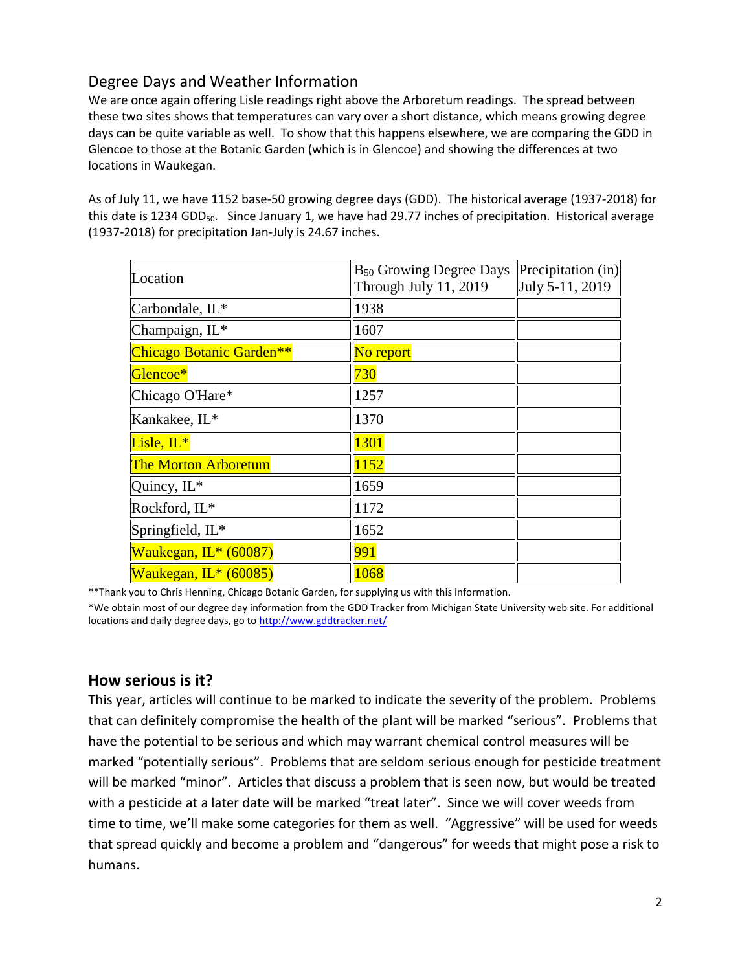# Degree Days and Weather Information

We are once again offering Lisle readings right above the Arboretum readings. The spread between these two sites shows that temperatures can vary over a short distance, which means growing degree days can be quite variable as well. To show that this happens elsewhere, we are comparing the GDD in Glencoe to those at the Botanic Garden (which is in Glencoe) and showing the differences at two locations in Waukegan.

As of July 11, we have 1152 base-50 growing degree days (GDD). The historical average (1937-2018) for this date is 1234 GDD<sub>50</sub>. Since January 1, we have had 29.77 inches of precipitation. Historical average (1937-2018) for precipitation Jan-July is 24.67 inches.

| Location                    | $B_{50}$ Growing Degree Days<br>Through July 11, 2019 | $\left  \text{Precipitation (in)} \right $<br>July 5-11, 2019 |
|-----------------------------|-------------------------------------------------------|---------------------------------------------------------------|
| Carbondale, IL*             | 1938                                                  |                                                               |
| Champaign, IL*              | 1607                                                  |                                                               |
| Chicago Botanic Garden**    | No report                                             |                                                               |
| Glencoe*                    | 730                                                   |                                                               |
| Chicago O'Hare*             | 1257                                                  |                                                               |
| Kankakee, IL*               | 1370                                                  |                                                               |
| Lisle, $IL^*$               | 1301                                                  |                                                               |
| <b>The Morton Arboretum</b> | 1152                                                  |                                                               |
| Quincy, IL*                 | 1659                                                  |                                                               |
| Rockford, IL*               | 1172                                                  |                                                               |
| Springfield, IL*            | 1652                                                  |                                                               |
| Waukegan, IL* (60087)       | 991                                                   |                                                               |
| Waukegan, IL* (60085)       | 1068                                                  |                                                               |

\*\*Thank you to Chris Henning, Chicago Botanic Garden, for supplying us with this information.

\*We obtain most of our degree day information from the GDD Tracker from Michigan State University web site. For additional locations and daily degree days, go t[o http://www.gddtracker.net/](http://www.gddtracker.net/)

# **How serious is it?**

This year, articles will continue to be marked to indicate the severity of the problem. Problems that can definitely compromise the health of the plant will be marked "serious".Problems that have the potential to be serious and which may warrant chemical control measures will be marked "potentially serious". Problems that are seldom serious enough for pesticide treatment will be marked "minor". Articles that discuss a problem that is seen now, but would be treated with a pesticide at a later date will be marked "treat later". Since we will cover weeds from time to time, we'll make some categories for them as well. "Aggressive" will be used for weeds that spread quickly and become a problem and "dangerous" for weeds that might pose a risk to humans.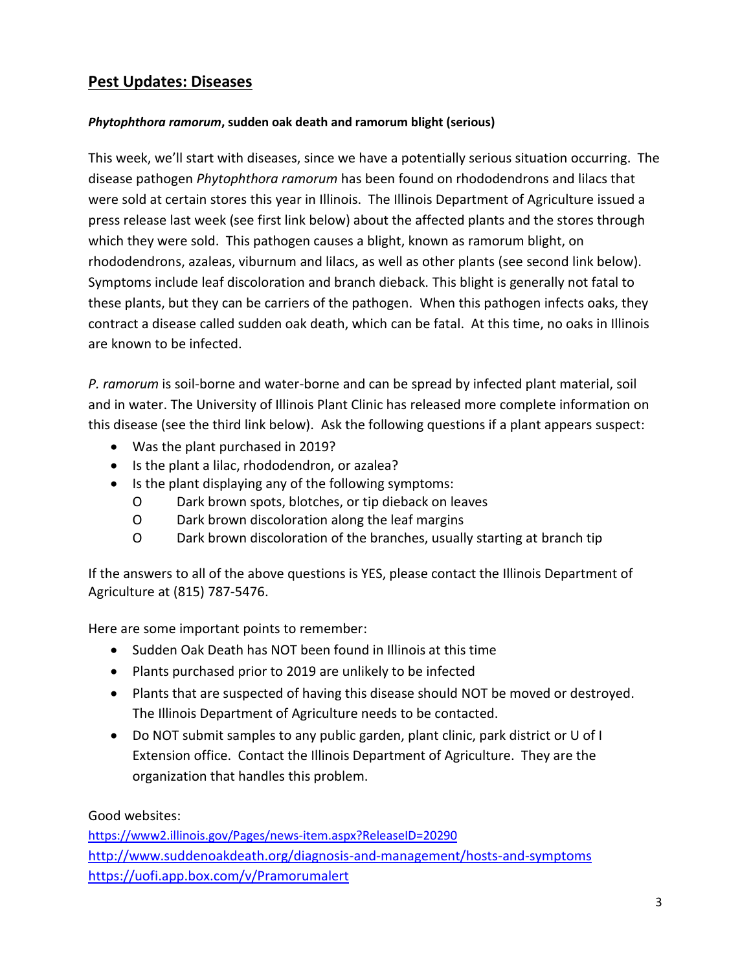# **Pest Updates: Diseases**

# *Phytophthora ramorum***, sudden oak death and ramorum blight (serious)**

This week, we'll start with diseases, since we have a potentially serious situation occurring. The disease pathogen *Phytophthora ramorum* has been found on rhododendrons and lilacs that were sold at certain stores this year in Illinois. The Illinois Department of Agriculture issued a press release last week (see first link below) about the affected plants and the stores through which they were sold. This pathogen causes a blight, known as ramorum blight, on rhododendrons, azaleas, viburnum and lilacs, as well as other plants (see second link below). Symptoms include leaf discoloration and branch dieback. This blight is generally not fatal to these plants, but they can be carriers of the pathogen. When this pathogen infects oaks, they contract a disease called sudden oak death, which can be fatal. At this time, no oaks in Illinois are known to be infected.

*P. ramorum* is soil-borne and water-borne and can be spread by infected plant material, soil and in water. The University of Illinois Plant Clinic has released more complete information on this disease (see the third link below). Ask the following questions if a plant appears suspect:

- Was the plant purchased in 2019?
- Is the plant a lilac, rhododendron, or azalea?
- Is the plant displaying any of the following symptoms:
	- O Dark brown spots, blotches, or tip dieback on leaves
	- O Dark brown discoloration along the leaf margins
	- O Dark brown discoloration of the branches, usually starting at branch tip

If the answers to all of the above questions is YES, please contact the Illinois Department of Agriculture at (815) 787-5476.

Here are some important points to remember:

- Sudden Oak Death has NOT been found in Illinois at this time
- Plants purchased prior to 2019 are unlikely to be infected
- Plants that are suspected of having this disease should NOT be moved or destroyed. The Illinois Department of Agriculture needs to be contacted.
- Do NOT submit samples to any public garden, plant clinic, park district or U of I Extension office. Contact the Illinois Department of Agriculture. They are the organization that handles this problem.

Good websites:

<https://www2.illinois.gov/Pages/news-item.aspx?ReleaseID=20290> <http://www.suddenoakdeath.org/diagnosis-and-management/hosts-and-symptoms> <https://uofi.app.box.com/v/Pramorumalert>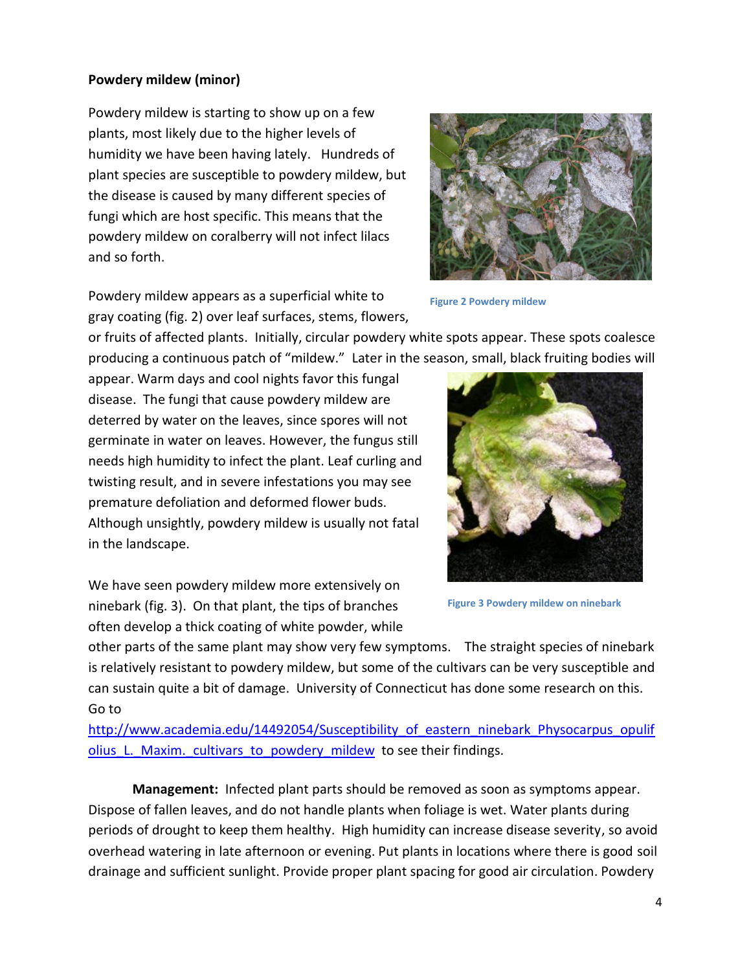# **Powdery mildew (minor)**

Powdery mildew is starting to show up on a few plants, most likely due to the higher levels of humidity we have been having lately. Hundreds of plant species are susceptible to powdery mildew, but the disease is caused by many different species of fungi which are host specific. This means that the powdery mildew on coralberry will not infect lilacs and so forth.



**Figure 2 Powdery mildew**

Powdery mildew appears as a superficial white to gray coating (fig. 2) over leaf surfaces, stems, flowers,

or fruits of affected plants. Initially, circular powdery white spots appear. These spots coalesce producing a continuous patch of "mildew." Later in the season, small, black fruiting bodies will

appear. Warm days and cool nights favor this fungal disease. The fungi that cause powdery mildew are deterred by water on the leaves, since spores will not germinate in water on leaves. However, the fungus still needs high humidity to infect the plant. Leaf curling and twisting result, and in severe infestations you may see premature defoliation and deformed flower buds. Although unsightly, powdery mildew is usually not fatal in the landscape.

We have seen powdery mildew more extensively on ninebark (fig. 3). On that plant, the tips of branches often develop a thick coating of white powder, while



**Figure 3 Powdery mildew on ninebark**

other parts of the same plant may show very few symptoms. The straight species of ninebark is relatively resistant to powdery mildew, but some of the cultivars can be very susceptible and can sustain quite a bit of damage. University of Connecticut has done some research on this. Go to

[http://www.academia.edu/14492054/Susceptibility\\_of\\_eastern\\_ninebark\\_Physocarpus\\_opulif](http://www.academia.edu/14492054/Susceptibility_of_eastern_ninebark_Physocarpus_opulifolius_L._Maxim._cultivars_to_powdery_mildew) olius L. Maxim. cultivars to powdery mildew to see their findings.

**Management:** Infected plant parts should be removed as soon as symptoms appear. Dispose of fallen leaves, and do not handle plants when foliage is wet. Water plants during periods of drought to keep them healthy. High humidity can increase disease severity, so avoid overhead watering in late afternoon or evening. Put plants in locations where there is good soil drainage and sufficient sunlight. Provide proper plant spacing for good air circulation. Powdery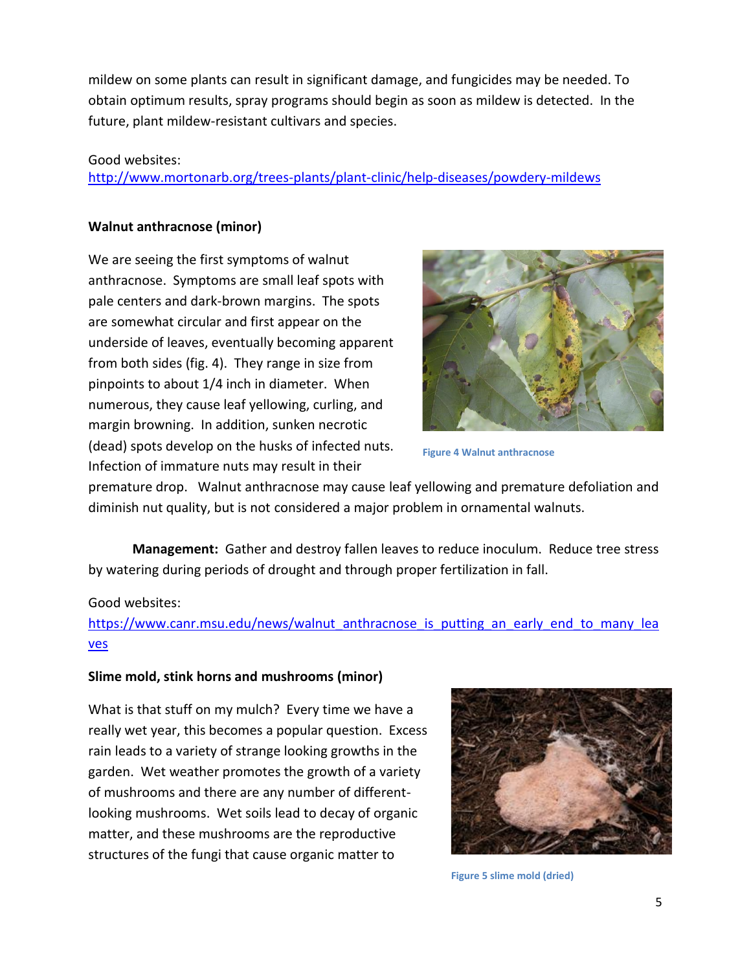mildew on some plants can result in significant damage, and fungicides may be needed. To obtain optimum results, spray programs should begin as soon as mildew is detected. In the future, plant mildew-resistant cultivars and species.

#### Good websites:

<http://www.mortonarb.org/trees-plants/plant-clinic/help-diseases/powdery-mildews>

# **Walnut anthracnose (minor)**

We are seeing the first symptoms of walnut anthracnose. Symptoms are small leaf spots with pale centers and dark-brown margins. The spots are somewhat circular and first appear on the underside of leaves, eventually becoming apparent from both sides (fig. 4). They range in size from pinpoints to about 1/4 inch in diameter. When numerous, they cause leaf yellowing, curling, and margin browning. In addition, sunken necrotic (dead) spots develop on the husks of infected nuts. Infection of immature nuts may result in their



**Figure 4 Walnut anthracnose**

premature drop. Walnut anthracnose may cause leaf yellowing and premature defoliation and diminish nut quality, but is not considered a major problem in ornamental walnuts.

**Management:** Gather and destroy fallen leaves to reduce inoculum. Reduce tree stress by watering during periods of drought and through proper fertilization in fall.

# Good websites:

[https://www.canr.msu.edu/news/walnut\\_anthracnose\\_is\\_putting\\_an\\_early\\_end\\_to\\_many\\_lea](https://www.canr.msu.edu/news/walnut_anthracnose_is_putting_an_early_end_to_many_leaves) [ves](https://www.canr.msu.edu/news/walnut_anthracnose_is_putting_an_early_end_to_many_leaves)

# **Slime mold, stink horns and mushrooms (minor)**

What is that stuff on my mulch? Every time we have a really wet year, this becomes a popular question. Excess rain leads to a variety of strange looking growths in the garden. Wet weather promotes the growth of a variety of mushrooms and there are any number of differentlooking mushrooms. Wet soils lead to decay of organic matter, and these mushrooms are the reproductive structures of the fungi that cause organic matter to



**Figure 5 slime mold (dried)**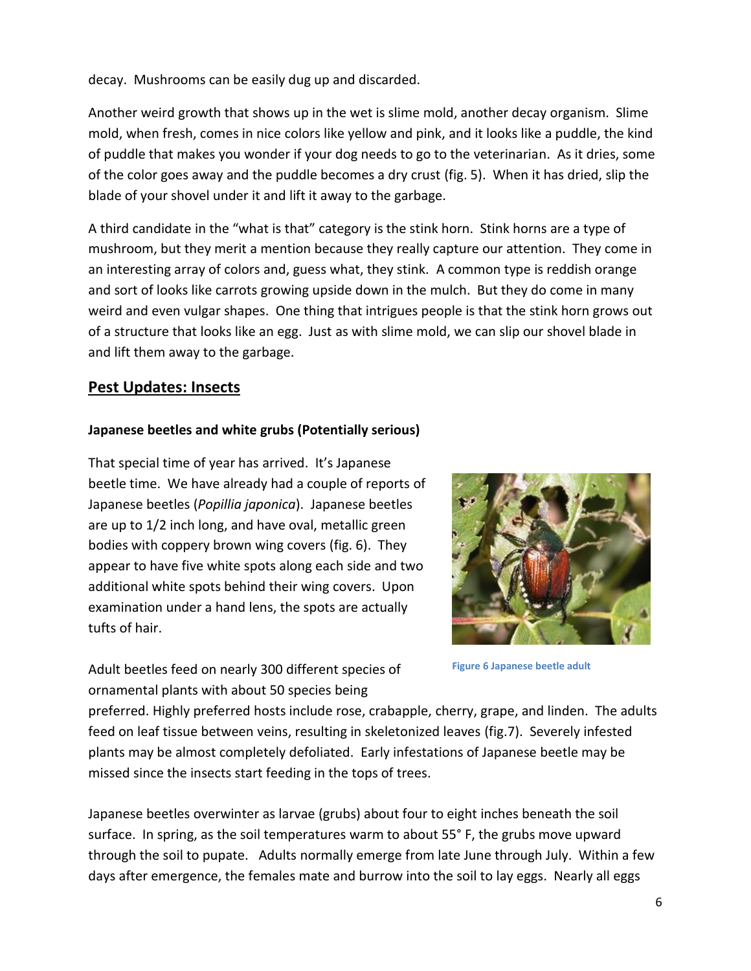decay. Mushrooms can be easily dug up and discarded.

Another weird growth that shows up in the wet is slime mold, another decay organism. Slime mold, when fresh, comes in nice colors like yellow and pink, and it looks like a puddle, the kind of puddle that makes you wonder if your dog needs to go to the veterinarian. As it dries, some of the color goes away and the puddle becomes a dry crust (fig. 5). When it has dried, slip the blade of your shovel under it and lift it away to the garbage.

A third candidate in the "what is that" category is the stink horn. Stink horns are a type of mushroom, but they merit a mention because they really capture our attention. They come in an interesting array of colors and, guess what, they stink. A common type is reddish orange and sort of looks like carrots growing upside down in the mulch. But they do come in many weird and even vulgar shapes. One thing that intrigues people is that the stink horn grows out of a structure that looks like an egg. Just as with slime mold, we can slip our shovel blade in and lift them away to the garbage.

# **Pest Updates: Insects**

# **Japanese beetles and white grubs (Potentially serious)**

That special time of year has arrived. It's Japanese beetle time. We have already had a couple of reports of Japanese beetles (*Popillia japonica*). Japanese beetles are up to 1/2 inch long, and have oval, metallic green bodies with coppery brown wing covers (fig. 6). They appear to have five white spots along each side and two additional white spots behind their wing covers. Upon examination under a hand lens, the spots are actually tufts of hair.



Adult beetles feed on nearly 300 different species of ornamental plants with about 50 species being

**Figure 6 Japanese beetle adult**

preferred. Highly preferred hosts include rose, crabapple, cherry, grape, and linden. The adults feed on leaf tissue between veins, resulting in skeletonized leaves (fig.7). Severely infested plants may be almost completely defoliated. Early infestations of Japanese beetle may be missed since the insects start feeding in the tops of trees.

Japanese beetles overwinter as larvae (grubs) about four to eight inches beneath the soil surface. In spring, as the soil temperatures warm to about 55° F, the grubs move upward through the soil to pupate. Adults normally emerge from late June through July. Within a few days after emergence, the females mate and burrow into the soil to lay eggs. Nearly all eggs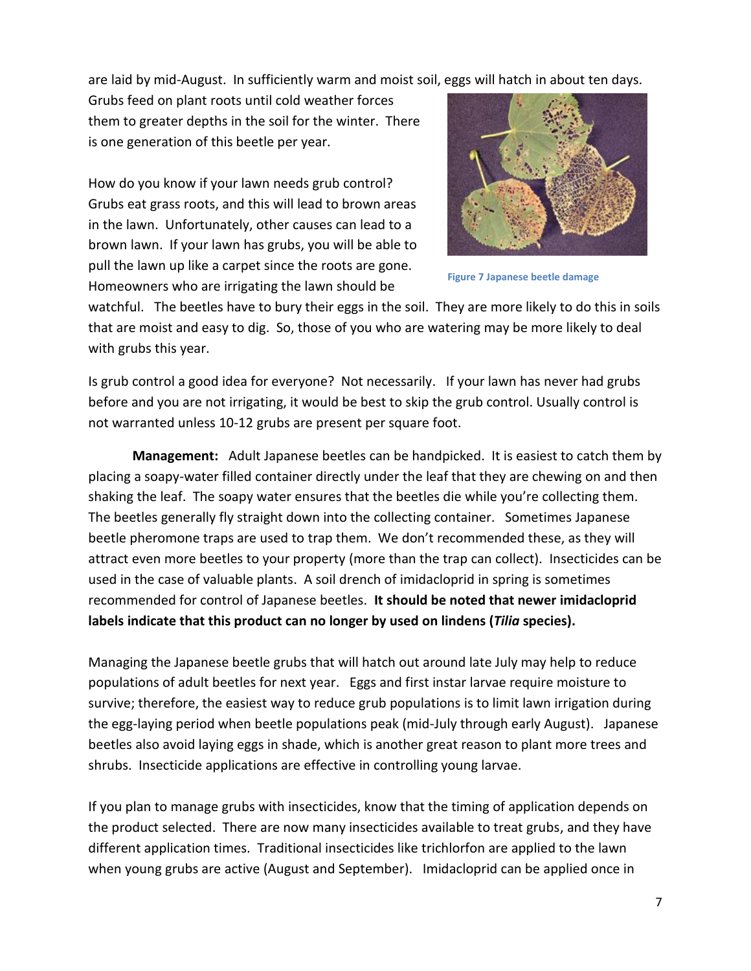are laid by mid-August. In sufficiently warm and moist soil, eggs will hatch in about ten days.

Grubs feed on plant roots until cold weather forces them to greater depths in the soil for the winter. There is one generation of this beetle per year.

How do you know if your lawn needs grub control? Grubs eat grass roots, and this will lead to brown areas in the lawn. Unfortunately, other causes can lead to a brown lawn. If your lawn has grubs, you will be able to pull the lawn up like a carpet since the roots are gone. Homeowners who are irrigating the lawn should be



**Figure 7 Japanese beetle damage**

watchful. The beetles have to bury their eggs in the soil. They are more likely to do this in soils that are moist and easy to dig. So, those of you who are watering may be more likely to deal with grubs this year.

Is grub control a good idea for everyone? Not necessarily. If your lawn has never had grubs before and you are not irrigating, it would be best to skip the grub control. Usually control is not warranted unless 10-12 grubs are present per square foot.

**Management:** Adult Japanese beetles can be handpicked. It is easiest to catch them by placing a soapy-water filled container directly under the leaf that they are chewing on and then shaking the leaf. The soapy water ensures that the beetles die while you're collecting them. The beetles generally fly straight down into the collecting container. Sometimes Japanese beetle pheromone traps are used to trap them. We don't recommended these, as they will attract even more beetles to your property (more than the trap can collect). Insecticides can be used in the case of valuable plants. A soil drench of imidacloprid in spring is sometimes recommended for control of Japanese beetles. **It should be noted that newer imidacloprid labels indicate that this product can no longer by used on lindens (***Tilia* **species).**

Managing the Japanese beetle grubs that will hatch out around late July may help to reduce populations of adult beetles for next year. Eggs and first instar larvae require moisture to survive; therefore, the easiest way to reduce grub populations is to limit lawn irrigation during the egg-laying period when beetle populations peak (mid-July through early August). Japanese beetles also avoid laying eggs in shade, which is another great reason to plant more trees and shrubs. Insecticide applications are effective in controlling young larvae.

If you plan to manage grubs with insecticides, know that the timing of application depends on the product selected. There are now many insecticides available to treat grubs, and they have different application times. Traditional insecticides like trichlorfon are applied to the lawn when young grubs are active (August and September). Imidacloprid can be applied once in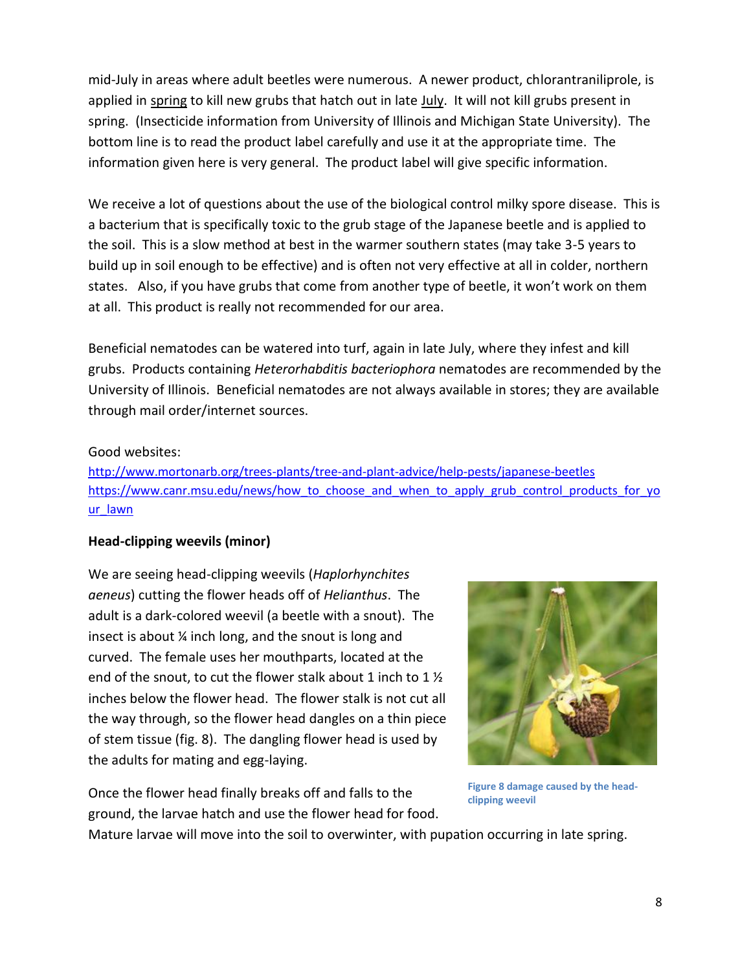mid-July in areas where adult beetles were numerous. A newer product, chlorantraniliprole, is applied in spring to kill new grubs that hatch out in late July. It will not kill grubs present in spring. (Insecticide information from University of Illinois and Michigan State University). The bottom line is to read the product label carefully and use it at the appropriate time. The information given here is very general. The product label will give specific information.

We receive a lot of questions about the use of the biological control milky spore disease. This is a bacterium that is specifically toxic to the grub stage of the Japanese beetle and is applied to the soil. This is a slow method at best in the warmer southern states (may take 3-5 years to build up in soil enough to be effective) and is often not very effective at all in colder, northern states. Also, if you have grubs that come from another type of beetle, it won't work on them at all. This product is really not recommended for our area.

Beneficial nematodes can be watered into turf, again in late July, where they infest and kill grubs. Products containing *Heterorhabditis bacteriophora* nematodes are recommended by the University of Illinois. Beneficial nematodes are not always available in stores; they are available through mail order/internet sources.

# Good websites:

<http://www.mortonarb.org/trees-plants/tree-and-plant-advice/help-pests/japanese-beetles> [https://www.canr.msu.edu/news/how\\_to\\_choose\\_and\\_when\\_to\\_apply\\_grub\\_control\\_products\\_for\\_yo](https://www.canr.msu.edu/news/how_to_choose_and_when_to_apply_grub_control_products_for_your_lawn) [ur\\_lawn](https://www.canr.msu.edu/news/how_to_choose_and_when_to_apply_grub_control_products_for_your_lawn)

# **Head-clipping weevils (minor)**

We are seeing head-clipping weevils (*Haplorhynchites aeneus*) cutting the flower heads off of *Helianthus*. The adult is a dark-colored weevil (a beetle with a snout). The insect is about ¼ inch long, and the snout is long and curved. The female uses her mouthparts, located at the end of the snout, to cut the flower stalk about 1 inch to 1  $\frac{1}{2}$ inches below the flower head. The flower stalk is not cut all the way through, so the flower head dangles on a thin piece of stem tissue (fig. 8). The dangling flower head is used by the adults for mating and egg-laying.

Once the flower head finally breaks off and falls to the ground, the larvae hatch and use the flower head for food.



**Figure 8 damage caused by the headclipping weevil**

Mature larvae will move into the soil to overwinter, with pupation occurring in late spring.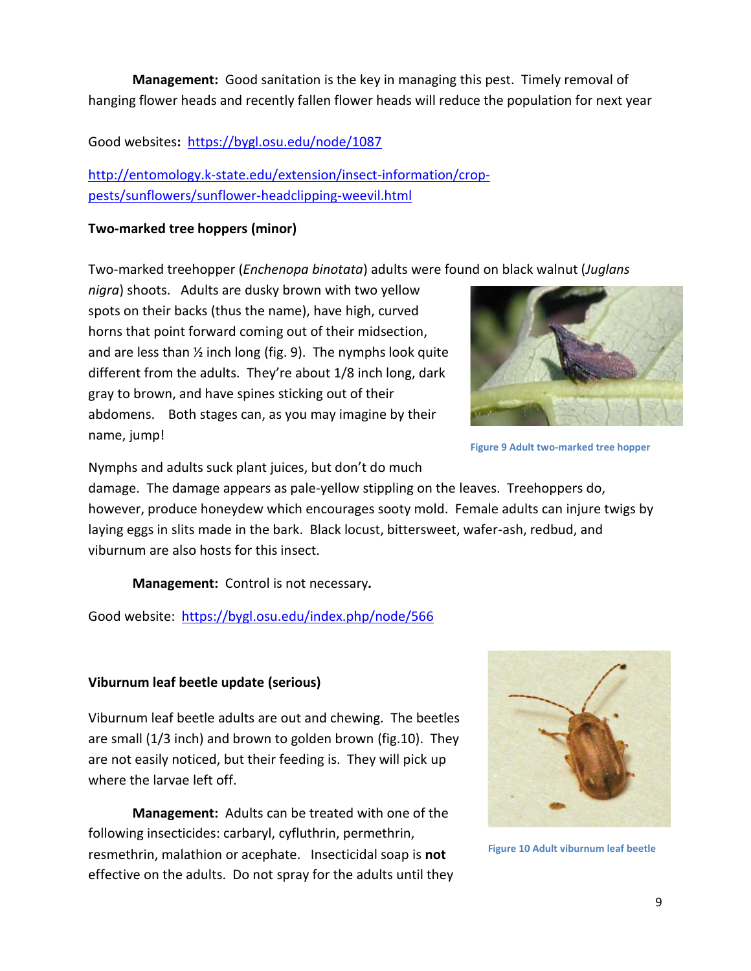**Management:** Good sanitation is the key in managing this pest. Timely removal of hanging flower heads and recently fallen flower heads will reduce the population for next year

Good websites**:** <https://bygl.osu.edu/node/1087>

[http://entomology.k-state.edu/extension/insect-information/crop](http://entomology.k-state.edu/extension/insect-information/crop-pests/sunflowers/sunflower-headclipping-weevil.html)[pests/sunflowers/sunflower-headclipping-weevil.html](http://entomology.k-state.edu/extension/insect-information/crop-pests/sunflowers/sunflower-headclipping-weevil.html)

# **Two-marked tree hoppers (minor)**

Two-marked treehopper (*Enchenopa binotata*) adults were found on black walnut (*Juglans* 

*nigra*) shoots. Adults are dusky brown with two yellow spots on their backs (thus the name), have high, curved horns that point forward coming out of their midsection, and are less than  $\frac{1}{2}$  inch long (fig. 9). The nymphs look quite different from the adults. They're about 1/8 inch long, dark gray to brown, and have spines sticking out of their abdomens. Both stages can, as you may imagine by their name, jump!



**Figure 9 Adult two-marked tree hopper**

Nymphs and adults suck plant juices, but don't do much

damage. The damage appears as pale-yellow stippling on the leaves. Treehoppers do, however, produce honeydew which encourages sooty mold. Female adults can injure twigs by laying eggs in slits made in the bark. Black locust, bittersweet, wafer-ash, redbud, and viburnum are also hosts for this insect.

**Management:** Control is not necessary*.* 

Good website: <https://bygl.osu.edu/index.php/node/566>

# **Viburnum leaf beetle update (serious)**

Viburnum leaf beetle adults are out and chewing. The beetles are small (1/3 inch) and brown to golden brown (fig.10). They are not easily noticed, but their feeding is. They will pick up where the larvae left off.

**Management:** Adults can be treated with one of the following insecticides: carbaryl, cyfluthrin, permethrin, resmethrin, malathion or acephate. Insecticidal soap is **not** effective on the adults. Do not spray for the adults until they



**Figure 10 Adult viburnum leaf beetle**